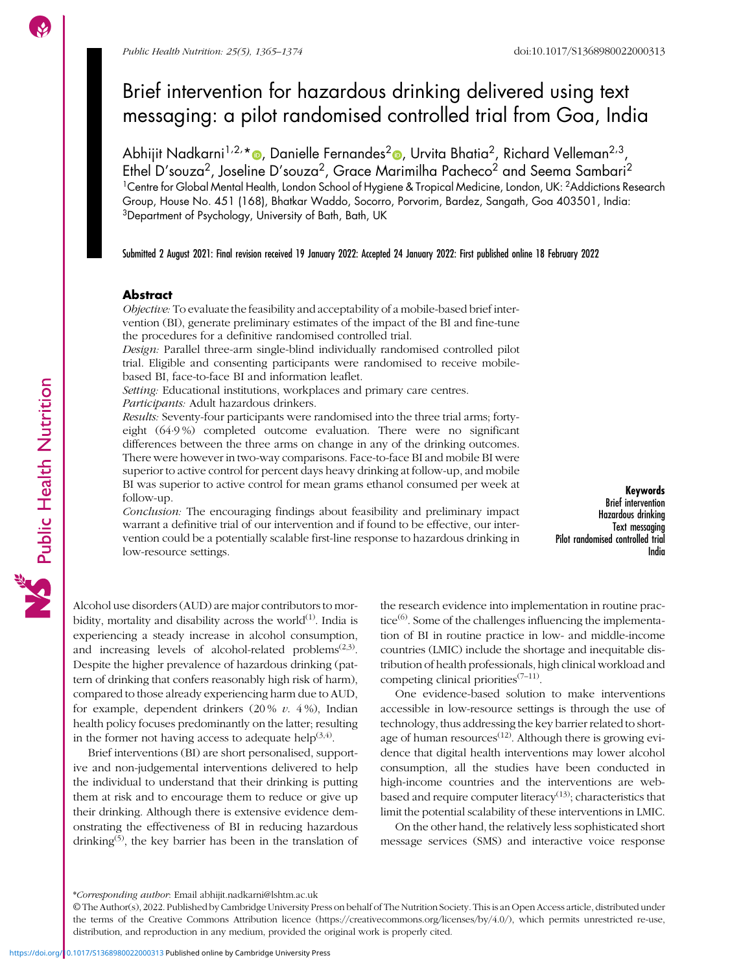Public Health Nutrition

# Brief intervention for hazardous drinking delivered using text messaging: a pilot randomised controlled trial from Goa, India

Abhijit Nadkarni<sup>1,2,</sup>\*®, Danielle Fernandes<sup>2</sup>®, Urvita Bhatia<sup>2</sup>, Richard Velleman<sup>2,3</sup>, Ethel D'souza<sup>2</sup>, Joseline D'souza<sup>2</sup>, Grace Marimilha Pacheco<sup>2</sup> and Seema Sambari<sup>2</sup> <sup>1</sup>Centre for Global Mental Health, London School of Hygiene & Tropical Medicine, London, UK: <sup>2</sup>Addictions Research Group, House No. 451 (168), Bhatkar Waddo, Socorro, Porvorim, Bardez, Sangath, Goa 403501, India: 3Department of Psychology, University of Bath, Bath, UK

Submitted 2 August 2021: Final revision received 19 January 2022: Accepted 24 January 2022: First published online 18 February 2022

# **Abstract**

Objective: To evaluate the feasibility and acceptability of a mobile-based brief intervention (BI), generate preliminary estimates of the impact of the BI and fine-tune the procedures for a definitive randomised controlled trial.

Design: Parallel three-arm single-blind individually randomised controlled pilot trial. Eligible and consenting participants were randomised to receive mobilebased BI, face-to-face BI and information leaflet.

Setting: Educational institutions, workplaces and primary care centres. Participants: Adult hazardous drinkers.

Results: Seventy-four participants were randomised into the three trial arms; fortyeight (64·9 %) completed outcome evaluation. There were no significant differences between the three arms on change in any of the drinking outcomes. There were however in two-way comparisons. Face-to-face BI and mobile BI were superior to active control for percent days heavy drinking at follow-up, and mobile BI was superior to active control for mean grams ethanol consumed per week at follow-up.

Conclusion: The encouraging findings about feasibility and preliminary impact warrant a definitive trial of our intervention and if found to be effective, our intervention could be a potentially scalable first-line response to hazardous drinking in low-resource settings.

Keywords Brief intervention Hazardous drinking Text messaging Pilot randomised controlled trial India

Alcohol use disorders (AUD) are major contributors to morbidity, mortality and disability across the world $^{(1)}$  $^{(1)}$  $^{(1)}$ . India is experiencing a steady increase in alcohol consumption, and increasing levels of alcohol-related problems<sup> $(2,3)$  $(2,3)$  $(2,3)$  $(2,3)$ </sup>. Despite the higher prevalence of hazardous drinking (pattern of drinking that confers reasonably high risk of harm), compared to those already experiencing harm due to AUD, for example, dependent drinkers  $(20\% v. 4\%)$ , Indian health policy focuses predominantly on the latter; resulting in the former not having access to adequate help $(3,4)$ .

Brief interventions (BI) are short personalised, supportive and non-judgemental interventions delivered to help the individual to understand that their drinking is putting them at risk and to encourage them to reduce or give up their drinking. Although there is extensive evidence demonstrating the effectiveness of BI in reducing hazardous drinking<sup>([5](#page-8-0))</sup>, the key barrier has been in the translation of the research evidence into implementation in routine practice $^{(6)}$  $^{(6)}$  $^{(6)}$ . Some of the challenges influencing the implementation of BI in routine practice in low- and middle-income countries (LMIC) include the shortage and inequitable distribution of health professionals, high clinical workload and competing clinical priorities $(7-11)$  $(7-11)$  $(7-11)$  $(7-11)$ .

One evidence-based solution to make interventions accessible in low-resource settings is through the use of technology, thus addressing the key barrier related to short-age of human resources<sup>[\(12\)](#page-8-0)</sup>. Although there is growing evidence that digital health interventions may lower alcohol consumption, all the studies have been conducted in high-income countries and the interventions are webbased and require computer literacy<sup> $(13)$ </sup>; characteristics that limit the potential scalability of these interventions in LMIC.

On the other hand, the relatively less sophisticated short message services (SMS) and interactive voice response

<sup>\*</sup>Corresponding author: Email [abhijit.nadkarni@lshtm.ac.uk](mailto:abhijit.nadkarni@lshtm.ac.uk)

<sup>©</sup> The Author(s), 2022. Published by Cambridge University Press on behalf of The Nutrition Society. This is an Open Access article, distributed under the terms of the Creative Commons Attribution licence [\(https://creativecommons.org/licenses/by/4.0/\)](https://creativecommons.org/licenses/by/4.0/), which permits unrestricted re-use, distribution, and reproduction in any medium, provided the original work is properly cited.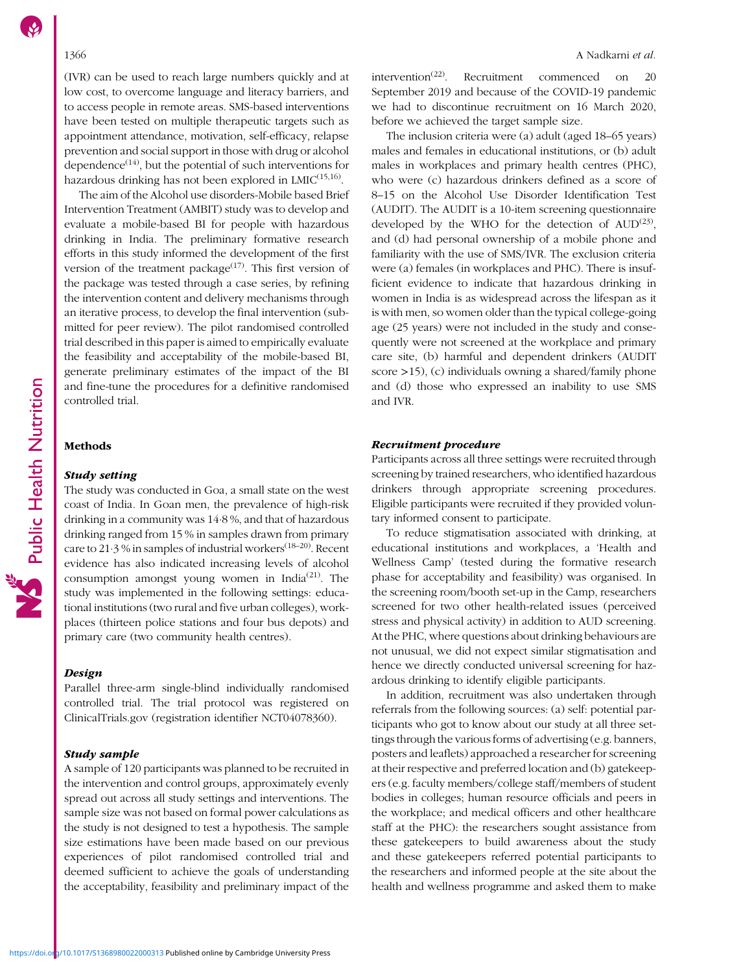(IVR) can be used to reach large numbers quickly and at low cost, to overcome language and literacy barriers, and to access people in remote areas. SMS-based interventions have been tested on multiple therapeutic targets such as appointment attendance, motivation, self-efficacy, relapse prevention and social support in those with drug or alcohol dependence $(14)$  $(14)$  $(14)$ , but the potential of such interventions for hazardous drinking has not been explored in  $LMIC^{(15,16)}$  $LMIC^{(15,16)}$  $LMIC^{(15,16)}$ .

The aim of the Alcohol use disorders-Mobile based Brief Intervention Treatment (AMBIT) study was to develop and evaluate a mobile-based BI for people with hazardous drinking in India. The preliminary formative research efforts in this study informed the development of the first version of the treatment package<sup> $(17)$  $(17)$ </sup>. This first version of the package was tested through a case series, by refining the intervention content and delivery mechanisms through an iterative process, to develop the final intervention (submitted for peer review). The pilot randomised controlled trial described in this paper is aimed to empirically evaluate the feasibility and acceptability of the mobile-based BI, generate preliminary estimates of the impact of the BI and fine-tune the procedures for a definitive randomised controlled trial.

#### **Methods**

# Study setting

The study was conducted in Goa, a small state on the west coast of India. In Goan men, the prevalence of high-risk drinking in a community was 14·8 %, and that of hazardous drinking ranged from 15 % in samples drawn from primary care to 21.3 % in samples of industrial workers<sup>([18](#page-8-0)–[20](#page-9-0))</sup>. Recent evidence has also indicated increasing levels of alcohol consumption amongst young women in India<sup>[\(21](#page-9-0))</sup>. The study was implemented in the following settings: educational institutions (two rural and five urban colleges), workplaces (thirteen police stations and four bus depots) and primary care (two community health centres).

## **Design**

Parallel three-arm single-blind individually randomised controlled trial. The trial protocol was registered on ClinicalTrials.gov (registration identifier NCT04078360).

### Study sample

A sample of 120 participants was planned to be recruited in the intervention and control groups, approximately evenly spread out across all study settings and interventions. The sample size was not based on formal power calculations as the study is not designed to test a hypothesis. The sample size estimations have been made based on our previous experiences of pilot randomised controlled trial and deemed sufficient to achieve the goals of understanding the acceptability, feasibility and preliminary impact of the

intervention<sup> $(22)$ </sup>. Recruitment commenced on 20 September 2019 and because of the COVID-19 pandemic we had to discontinue recruitment on 16 March 2020, before we achieved the target sample size.

The inclusion criteria were (a) adult (aged 18–65 years) males and females in educational institutions, or (b) adult males in workplaces and primary health centres (PHC), who were (c) hazardous drinkers defined as a score of 8–15 on the Alcohol Use Disorder Identification Test (AUDIT). The AUDIT is a 10-item screening questionnaire developed by the WHO for the detection of  $\text{AUD}^{(23)}$  $\text{AUD}^{(23)}$  $\text{AUD}^{(23)}$ , and (d) had personal ownership of a mobile phone and familiarity with the use of SMS/IVR. The exclusion criteria were (a) females (in workplaces and PHC). There is insufficient evidence to indicate that hazardous drinking in women in India is as widespread across the lifespan as it is with men, so women older than the typical college-going age (25 years) were not included in the study and consequently were not screened at the workplace and primary care site, (b) harmful and dependent drinkers (AUDIT score >15), (c) individuals owning a shared/family phone and (d) those who expressed an inability to use SMS and IVR.

## Recruitment procedure

Participants across all three settings were recruited through screening by trained researchers, who identified hazardous drinkers through appropriate screening procedures. Eligible participants were recruited if they provided voluntary informed consent to participate.

To reduce stigmatisation associated with drinking, at educational institutions and workplaces, a 'Health and Wellness Camp' (tested during the formative research phase for acceptability and feasibility) was organised. In the screening room/booth set-up in the Camp, researchers screened for two other health-related issues (perceived stress and physical activity) in addition to AUD screening. At the PHC, where questions about drinking behaviours are not unusual, we did not expect similar stigmatisation and hence we directly conducted universal screening for hazardous drinking to identify eligible participants.

In addition, recruitment was also undertaken through referrals from the following sources: (a) self: potential participants who got to know about our study at all three settings through the various forms of advertising (e.g. banners, posters and leaflets) approached a researcher for screening at their respective and preferred location and (b) gatekeepers (e.g. faculty members/college staff/members of student bodies in colleges; human resource officials and peers in the workplace; and medical officers and other healthcare staff at the PHC): the researchers sought assistance from these gatekeepers to build awareness about the study and these gatekeepers referred potential participants to the researchers and informed people at the site about the health and wellness programme and asked them to make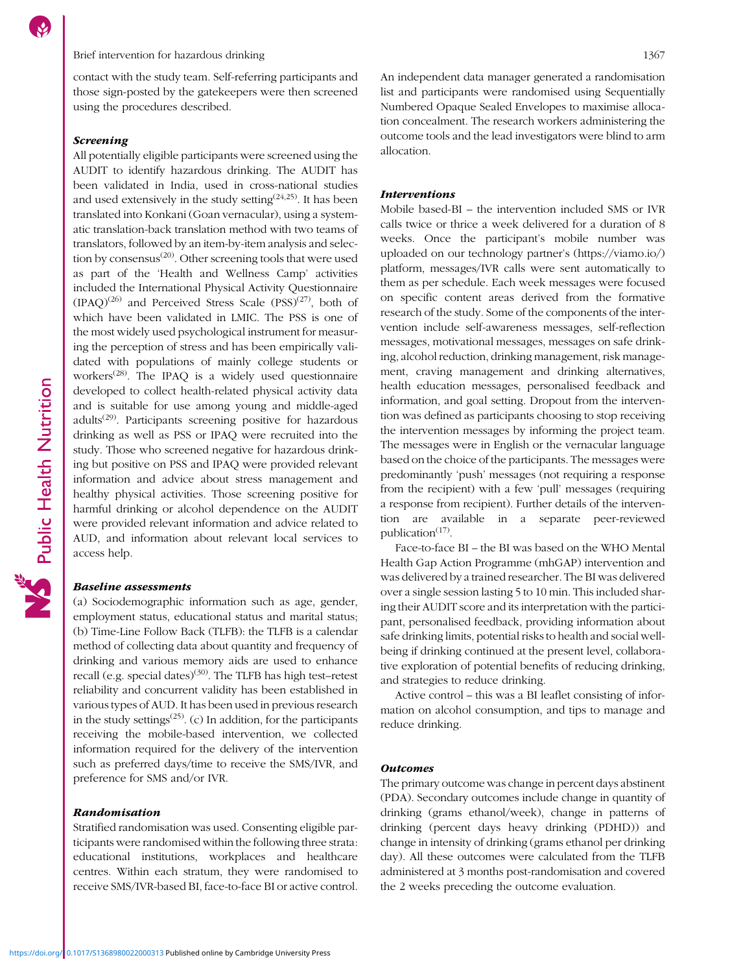# Brief intervention for hazardous drinking 1367

contact with the study team. Self-referring participants and those sign-posted by the gatekeepers were then screened using the procedures described.

# Screening

All potentially eligible participants were screened using the AUDIT to identify hazardous drinking. The AUDIT has been validated in India, used in cross-national studies and used extensively in the study setting $(24,25)$  $(24,25)$ . It has been translated into Konkani (Goan vernacular), using a systematic translation-back translation method with two teams of translators, followed by an item-by-item analysis and selection by consensus $^{(20)}$  $^{(20)}$  $^{(20)}$ . Other screening tools that were used as part of the 'Health and Wellness Camp' activities included the International Physical Activity Questionnaire  $(IPAQ)^{(26)}$  $(IPAQ)^{(26)}$  $(IPAQ)^{(26)}$  and Perceived Stress Scale  $(PSS)^{(27)}$  $(PSS)^{(27)}$  $(PSS)^{(27)}$ , both of which have been validated in LMIC. The PSS is one of the most widely used psychological instrument for measuring the perception of stress and has been empirically validated with populations of mainly college students or workers<sup> $(28)$  $(28)$  $(28)$ </sup>. The IPAQ is a widely used questionnaire developed to collect health-related physical activity data and is suitable for use among young and middle-aged  $adults<sup>(29)</sup>$  $adults<sup>(29)</sup>$  $adults<sup>(29)</sup>$ . Participants screening positive for hazardous drinking as well as PSS or IPAQ were recruited into the study. Those who screened negative for hazardous drinking but positive on PSS and IPAQ were provided relevant information and advice about stress management and healthy physical activities. Those screening positive for harmful drinking or alcohol dependence on the AUDIT were provided relevant information and advice related to AUD, and information about relevant local services to access help.

# Baseline assessments

(a) Sociodemographic information such as age, gender, employment status, educational status and marital status; (b) Time-Line Follow Back (TLFB): the TLFB is a calendar method of collecting data about quantity and frequency of drinking and various memory aids are used to enhance recall (e.g. special dates)<sup>([30](#page-9-0))</sup>. The TLFB has high test–retest reliability and concurrent validity has been established in various types of AUD. It has been used in previous research in the study settings<sup> $(25)$ </sup>. (c) In addition, for the participants receiving the mobile-based intervention, we collected information required for the delivery of the intervention such as preferred days/time to receive the SMS/IVR, and preference for SMS and/or IVR.

## Randomisation

Stratified randomisation was used. Consenting eligible participants were randomised within the following three strata: educational institutions, workplaces and healthcare centres. Within each stratum, they were randomised to receive SMS/IVR-based BI, face-to-face BI or active control. An independent data manager generated a randomisation list and participants were randomised using Sequentially Numbered Opaque Sealed Envelopes to maximise allocation concealment. The research workers administering the outcome tools and the lead investigators were blind to arm allocation.

# Interventions

Mobile based-BI – the intervention included SMS or IVR calls twice or thrice a week delivered for a duration of 8 weeks. Once the participant's mobile number was uploaded on our technology partner's [\(https://viamo.io/](https://viamo.io/)) platform, messages/IVR calls were sent automatically to them as per schedule. Each week messages were focused on specific content areas derived from the formative research of the study. Some of the components of the intervention include self-awareness messages, self-reflection messages, motivational messages, messages on safe drinking, alcohol reduction, drinking management, risk management, craving management and drinking alternatives, health education messages, personalised feedback and information, and goal setting. Dropout from the intervention was defined as participants choosing to stop receiving the intervention messages by informing the project team. The messages were in English or the vernacular language based on the choice of the participants. The messages were predominantly 'push' messages (not requiring a response from the recipient) with a few 'pull' messages (requiring a response from recipient). Further details of the intervention are available in a separate peer-reviewed publication $(17)$  $(17)$ .

Face-to-face BI – the BI was based on the WHO Mental Health Gap Action Programme (mhGAP) intervention and was delivered by a trained researcher. The BI was delivered over a single session lasting 5 to 10 min. This included sharing their AUDIT score and its interpretation with the participant, personalised feedback, providing information about safe drinking limits, potential risks to health and social wellbeing if drinking continued at the present level, collaborative exploration of potential benefits of reducing drinking, and strategies to reduce drinking.

Active control – this was a BI leaflet consisting of information on alcohol consumption, and tips to manage and reduce drinking.

### **Outcomes**

The primary outcome was change in percent days abstinent (PDA). Secondary outcomes include change in quantity of drinking (grams ethanol/week), change in patterns of drinking (percent days heavy drinking (PDHD)) and change in intensity of drinking (grams ethanol per drinking day). All these outcomes were calculated from the TLFB administered at 3 months post-randomisation and covered the 2 weeks preceding the outcome evaluation.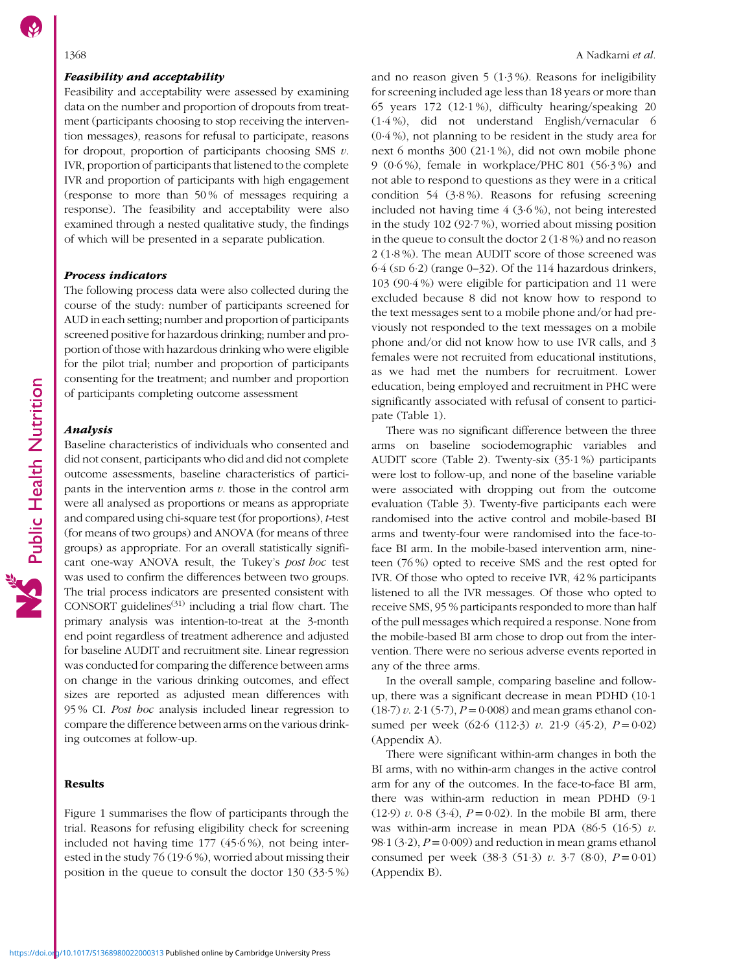# Feasibility and acceptability

Feasibility and acceptability were assessed by examining data on the number and proportion of dropouts from treatment (participants choosing to stop receiving the intervention messages), reasons for refusal to participate, reasons for dropout, proportion of participants choosing SMS  $v$ . IVR, proportion of participants that listened to the complete IVR and proportion of participants with high engagement (response to more than 50 % of messages requiring a response). The feasibility and acceptability were also examined through a nested qualitative study, the findings of which will be presented in a separate publication.

# Process indicators

The following process data were also collected during the course of the study: number of participants screened for AUD in each setting; number and proportion of participants screened positive for hazardous drinking; number and proportion of those with hazardous drinking who were eligible for the pilot trial; number and proportion of participants consenting for the treatment; and number and proportion of participants completing outcome assessment

# Analysis

Baseline characteristics of individuals who consented and did not consent, participants who did and did not complete outcome assessments, baseline characteristics of participants in the intervention arms  $v$ . those in the control arm were all analysed as proportions or means as appropriate and compared using chi-square test (for proportions), t-test (for means of two groups) and ANOVA (for means of three groups) as appropriate. For an overall statistically significant one-way ANOVA result, the Tukey's post hoc test was used to confirm the differences between two groups. The trial process indicators are presented consistent with CONSORT guidelines $(31)$  including a trial flow chart. The primary analysis was intention-to-treat at the 3-month end point regardless of treatment adherence and adjusted for baseline AUDIT and recruitment site. Linear regression was conducted for comparing the difference between arms on change in the various drinking outcomes, and effect sizes are reported as adjusted mean differences with 95 % CI. Post hoc analysis included linear regression to compare the difference between arms on the various drinking outcomes at follow-up.

# Results

Figure [1](#page-4-0) summarises the flow of participants through the trial. Reasons for refusing eligibility check for screening included not having time 177 (45·6 %), not being interested in the study 76 (19·6 %), worried about missing their position in the queue to consult the doctor 130 (33·5 %) and no reason given  $5(1.3\%)$ . Reasons for ineligibility for screening included age less than 18 years or more than 65 years 172 (12·1 %), difficulty hearing/speaking 20 (1·4 %), did not understand English/vernacular 6 (0·4 %), not planning to be resident in the study area for next 6 months 300 (21·1 %), did not own mobile phone 9 (0·6 %), female in workplace/PHC 801 (56·3 %) and not able to respond to questions as they were in a critical condition 54 (3·8 %). Reasons for refusing screening included not having time 4 (3·6 %), not being interested in the study 102 (92·7 %), worried about missing position in the queue to consult the doctor 2 (1·8 %) and no reason 2 (1·8 %). The mean AUDIT score of those screened was  $6.4$  (sp  $6.2$ ) (range  $0-32$ ). Of the 114 hazardous drinkers, 103 (90·4 %) were eligible for participation and 11 were excluded because 8 did not know how to respond to the text messages sent to a mobile phone and/or had previously not responded to the text messages on a mobile phone and/or did not know how to use IVR calls, and 3 females were not recruited from educational institutions, as we had met the numbers for recruitment. Lower education, being employed and recruitment in PHC were significantly associated with refusal of consent to participate (Table [1](#page-5-0)).

There was no significant difference between the three arms on baseline sociodemographic variables and AUDIT score (Table [2\)](#page-5-0). Twenty-six (35·1 %) participants were lost to follow-up, and none of the baseline variable were associated with dropping out from the outcome evaluation (Table [3](#page-6-0)). Twenty-five participants each were randomised into the active control and mobile-based BI arms and twenty-four were randomised into the face-toface BI arm. In the mobile-based intervention arm, nineteen (76 %) opted to receive SMS and the rest opted for IVR. Of those who opted to receive IVR, 42 % participants listened to all the IVR messages. Of those who opted to receive SMS, 95 % participants responded to more than half of the pull messages which required a response. None from the mobile-based BI arm chose to drop out from the intervention. There were no serious adverse events reported in any of the three arms.

In the overall sample, comparing baseline and followup, there was a significant decrease in mean PDHD (10·1  $(18·7) v. 2·1 (5·7), P = 0·008$ ) and mean grams ethanol consumed per week (62 $\cdot$ 6 (112 $\cdot$ 3) v. 21 $\cdot$ 9 (45 $\cdot$ 2), P = 0 $\cdot$ 02) (Appendix [A\)](https://doi.org/10.1017/S1368980022000313).

There were significant within-arm changes in both the BI arms, with no within-arm changes in the active control arm for any of the outcomes. In the face-to-face BI arm, there was within-arm reduction in mean PDHD (9·1 (12.9) v. 0.8 (3.4),  $P = 0.02$ ). In the mobile BI arm, there was within-arm increase in mean PDA (86.5 (16.5)  $v$ . 98 $\cdot$ 1 (3 $\cdot$ 2),  $P = 0.009$ ) and reduction in mean grams ethanol consumed per week (38.3 (51.3) v. 3.7 (8.0),  $P = 0.01$ ) (Appendix [B\)](https://doi.org/10.1017/S1368980022000313).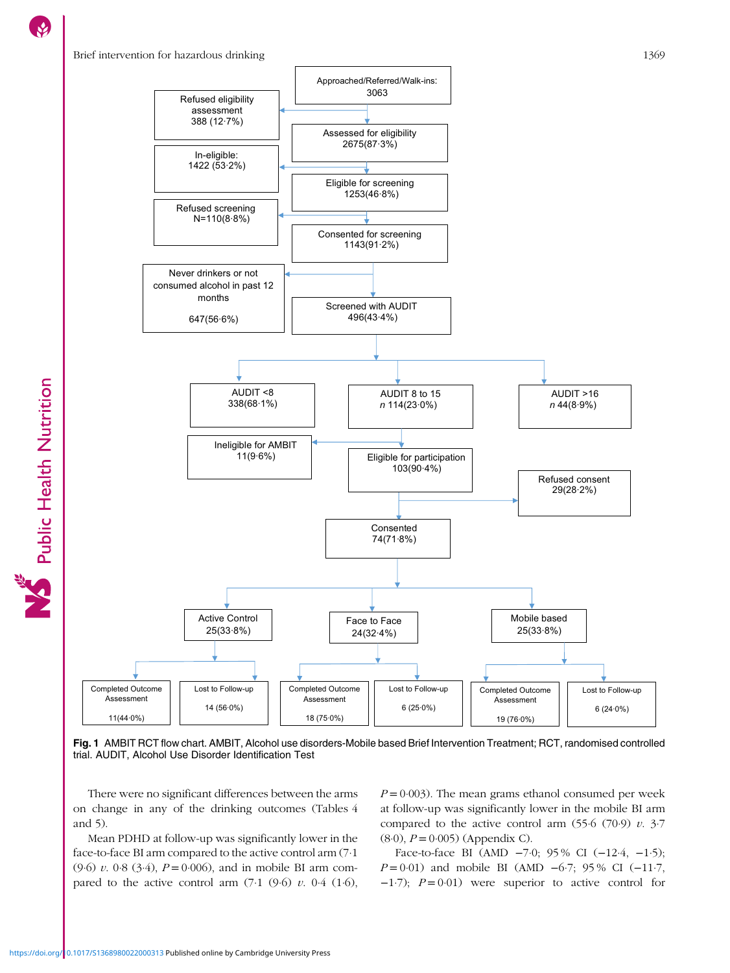# <span id="page-4-0"></span>Brief intervention for hazardous drinking 1369

Public Health Nutrition



Fig. 1 AMBIT RCT flow chart. AMBIT, Alcohol use disorders-Mobile based Brief Intervention Treatment; RCT, randomised controlled trial. AUDIT, Alcohol Use Disorder Identification Test

There were no significant differences between the arms on change in any of the drinking outcomes (Tables [4](#page-6-0) and [5](#page-7-0)).

Mean PDHD at follow-up was significantly lower in the face-to-face BI arm compared to the active control arm (7·1  $(9.6)$  v. 0.8 (3.4),  $P = 0.006$ ), and in mobile BI arm compared to the active control arm  $(7.1 \ (9.6) \ v. \ 0.4 \ (1.6))$ ,  $P = 0.003$ ). The mean grams ethanol consumed per week at follow-up was significantly lower in the mobile BI arm compared to the active control arm  $(55.6 (70.9) v. 3.7)$  $(8.0), P = 0.005)$  (Appendix [C](https://doi.org/10.1017/S1368980022000313)).

Face-to-face BI (AMD −7·0; 95 % CI (−12·4, −1·5);  $P = 0.01$ ) and mobile BI (AMD –6.7; 95% CI (–11.7,  $-1·7$ );  $P = 0·01$ ) were superior to active control for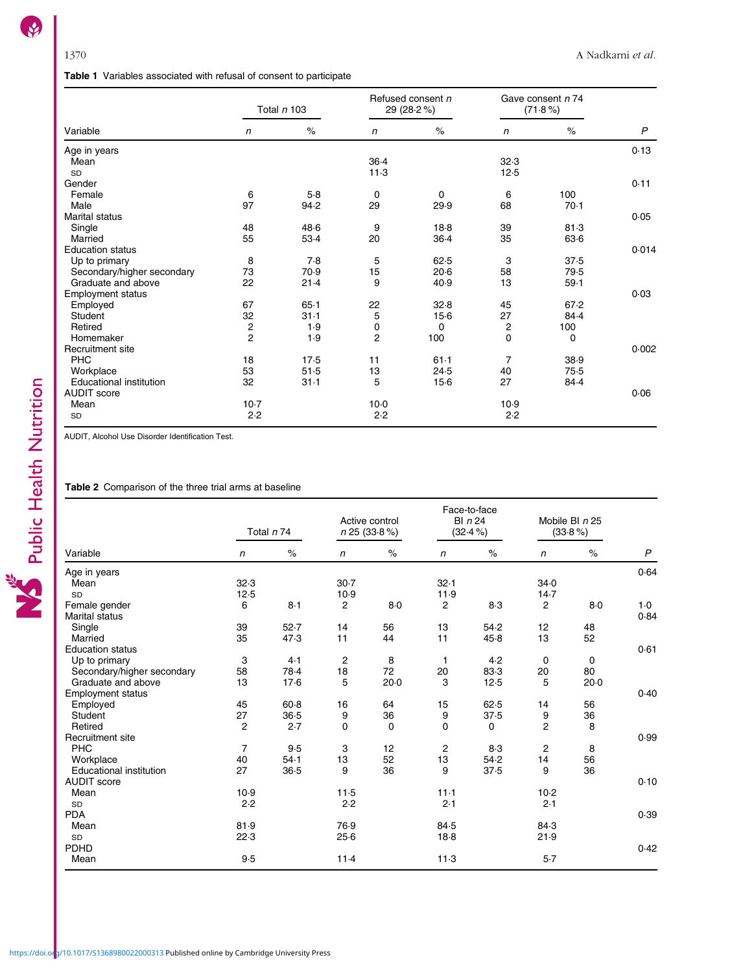# Table 1 Variables associated with refusal of consent to participate

<span id="page-5-0"></span>

|                                                                                                            |                | Total <i>n</i> 103 |                                | Refused consent n<br>29 (28.2%) |                                              | Gave consent n 74<br>$(71.8\%)$ |                              |       |                  |
|------------------------------------------------------------------------------------------------------------|----------------|--------------------|--------------------------------|---------------------------------|----------------------------------------------|---------------------------------|------------------------------|-------|------------------|
| Variable                                                                                                   | $\sqrt{n}$     | $\%$               |                                | n                               | $\%$                                         | $\sqrt{n}$                      |                              | $\%$  | $\boldsymbol{P}$ |
| Age in years                                                                                               |                |                    |                                |                                 |                                              |                                 |                              |       | 0.13             |
| Mean                                                                                                       |                |                    |                                | $36-4$                          |                                              | 32.3                            |                              |       |                  |
| SD                                                                                                         |                |                    |                                | 11.3                            |                                              | 12.5                            |                              |       |                  |
| Gender                                                                                                     |                |                    |                                |                                 |                                              |                                 |                              |       | 0.11             |
| Female                                                                                                     | 6              | 5.8                |                                | $\mathbf 0$                     | $\mathbf 0$                                  | 6                               | 100                          |       |                  |
| Male                                                                                                       | 97             | 94.2               |                                | 29                              | 29.9                                         | 68                              |                              | 70.1  |                  |
| <b>Marital status</b>                                                                                      |                |                    |                                |                                 |                                              |                                 |                              |       | 0.05             |
| Single                                                                                                     | 48             | 48.6               |                                | 9                               | 18.8                                         | 39                              |                              | 81.3  |                  |
| Married                                                                                                    | 55             | 53.4               |                                | 20                              | 36.4                                         | 35                              |                              | 63.6  |                  |
| <b>Education status</b>                                                                                    |                |                    |                                |                                 |                                              |                                 |                              |       | 0.014            |
| Up to primary                                                                                              | 8              | 7.8                |                                | 5                               | 62.5                                         | 3                               |                              | 37.5  |                  |
| Secondary/higher secondary                                                                                 | 73             | 70.9               |                                | 15                              | 20.6                                         | 58                              |                              | 79.5  |                  |
| Graduate and above                                                                                         | 22             | 21.4               |                                | 9                               | 40.9                                         | 13                              |                              | 59.1  |                  |
| <b>Employment status</b>                                                                                   |                |                    |                                |                                 |                                              |                                 |                              |       | 0.03             |
| Employed                                                                                                   | 67             | 65.1               |                                | 22                              | 32.8                                         | 45                              |                              | 67.2  |                  |
| Student                                                                                                    | 32             | $31 - 1$           |                                | 5                               | $15-6$                                       | 27                              |                              | 84.4  |                  |
| Retired                                                                                                    | $\mathbf 2$    | 1.9                |                                | 0                               | 0                                            | 2                               | 100                          |       |                  |
| Homemaker                                                                                                  | $\overline{2}$ | 1.9                |                                | $\overline{2}$                  | 100                                          | $\Omega$                        |                              | 0     |                  |
| Recruitment site                                                                                           |                |                    |                                |                                 |                                              |                                 |                              |       | 0.002            |
| PHC                                                                                                        | 18             | 17.5               |                                | 11                              | $61-1$                                       | $\overline{7}$                  |                              | 38.9  |                  |
| Workplace                                                                                                  | 53             | 51.5               |                                | 13                              | 24.5                                         | 40                              |                              | 75.5  |                  |
| <b>Educational institution</b>                                                                             | 32             | 31.1               |                                | 5                               | $15-6$                                       | 27                              |                              | 84.4  |                  |
| <b>AUDIT</b> score                                                                                         |                |                    |                                |                                 |                                              |                                 |                              |       | 0.06             |
| Mean                                                                                                       | $10-7$         |                    |                                | $10-0$                          |                                              | 10.9                            |                              |       |                  |
| SD                                                                                                         | 2.2            |                    |                                | 2.2                             |                                              | 2.2                             |                              |       |                  |
| AUDIT, Alcohol Use Disorder Identification Test.<br>Table 2 Comparison of the three trial arms at baseline |                |                    |                                |                                 |                                              |                                 |                              |       |                  |
|                                                                                                            | Total $n 74$   |                    | Active control<br>n 25 (33.8%) |                                 | Face-to-face<br><b>BI</b> n 24<br>$(32.4\%)$ |                                 | Mobile BI n 25<br>$(33.8\%)$ |       |                  |
| Variable                                                                                                   | $\mathsf{n}$   | $\%$               | n                              | $\%$                            | $\mathsf{n}$                                 | $\%$                            | $\mathsf{n}$                 | $\%$  | $\overline{P}$   |
| Age in years                                                                                               |                |                    |                                |                                 |                                              |                                 |                              |       | 0.64             |
| Mean                                                                                                       | 32.3           |                    | $30-7$                         |                                 | 32.1                                         |                                 | 34.0                         |       |                  |
| SD                                                                                                         | 12.5           |                    | 10.9                           |                                 | 11.9                                         |                                 | 14.7                         |       |                  |
| Female gender<br>Marital status                                                                            | 6              | 8.1                | $\overline{2}$                 | 8.0                             | $\overline{2}$                               | 8.3                             | $\overline{2}$               | $8-0$ | $1-0$<br>0.84    |

# Table 2 Comparison of the three trial arms at baseline

| Variable                       | Total n 74 |      | Active control<br>n 25 (33.8%) |             | Face-to-face<br>$BI$ $n$ 24<br>$(32.4\%)$ |      | Mobile BI n 25<br>$(33.8\%)$ |        |              |
|--------------------------------|------------|------|--------------------------------|-------------|-------------------------------------------|------|------------------------------|--------|--------------|
|                                | n          | $\%$ | $\sqrt{n}$                     | $\%$        | n                                         | $\%$ | n                            | $\%$   | $\mathsf{P}$ |
| Age in years                   |            |      |                                |             |                                           |      |                              |        | 0.64         |
| Mean                           | 32.3       |      | $30 - 7$                       |             | 32.1                                      |      | 34.0                         |        |              |
| <b>SD</b>                      | 12.5       |      | 10.9                           |             | 11.9                                      |      | 14.7                         |        |              |
| Female gender                  | 6          | 8.1  | 2                              | $8-0$       | $\overline{c}$                            | 8.3  | $\mathbf{2}$                 | 8.0    | 1.0          |
| <b>Marital status</b>          |            |      |                                |             |                                           |      |                              |        | 0.84         |
| Single                         | 39         | 52.7 | 14                             | 56          | 13                                        | 54.2 | 12                           | 48     |              |
| Married                        | 35         | 47.3 | 11                             | 44          | 11                                        | 45.8 | 13                           | 52     |              |
| <b>Education status</b>        |            |      |                                |             |                                           |      |                              |        | 0.61         |
| Up to primary                  | 3          | 4.1  | 2                              | 8           | $\mathbf 1$                               | 4.2  | $\mathbf 0$                  | 0      |              |
| Secondary/higher secondary     | 58         | 78.4 | 18                             | 72          | 20                                        | 83.3 | 20                           | 80     |              |
| Graduate and above             | 13         | 17.6 | 5                              | 20.0        | 3                                         | 12.5 | 5                            | $20-0$ |              |
| <b>Employment status</b>       |            |      |                                |             |                                           |      |                              |        | 0.40         |
| Employed                       | 45         | 60.8 | 16                             | 64          | 15                                        | 62.5 | 14                           | 56     |              |
| Student                        | 27         | 36.5 | 9                              | 36          | 9                                         | 37.5 | 9                            | 36     |              |
| Retired                        | 2          | 2.7  | 0                              | $\mathbf 0$ | $\mathbf 0$                               | 0    | $\overline{c}$               | 8      |              |
| Recruitment site               |            |      |                                |             |                                           |      |                              |        | 0.99         |
| <b>PHC</b>                     | 7          | 9.5  | 3                              | 12          | $\overline{c}$                            | 8.3  | 2                            | 8      |              |
| Workplace                      | 40         | 54.1 | 13                             | 52          | 13                                        | 54.2 | 14                           | 56     |              |
| <b>Educational institution</b> | 27         | 36.5 | 9                              | 36          | 9                                         | 37.5 | 9                            | 36     |              |
| <b>AUDIT</b> score             |            |      |                                |             |                                           |      |                              |        | 0.10         |
| Mean                           | 10.9       |      | 11.5                           |             | $11 - 1$                                  |      | $10-2$                       |        |              |
| <b>SD</b>                      | 2.2        |      | 2.2                            |             | 2.1                                       |      | 2.1                          |        |              |
| <b>PDA</b>                     |            |      |                                |             |                                           |      |                              |        | 0.39         |
| Mean                           | 81.9       |      | 76.9                           |             | 84.5                                      |      | 84.3                         |        |              |
| SD                             | 22.3       |      | 25.6                           |             | 18.8                                      |      | 21.9                         |        |              |
| PDHD                           |            |      |                                |             |                                           |      |                              |        | 0.42         |
| Mean                           | 9.5        |      | 11.4                           |             | 11.3                                      |      | 5.7                          |        |              |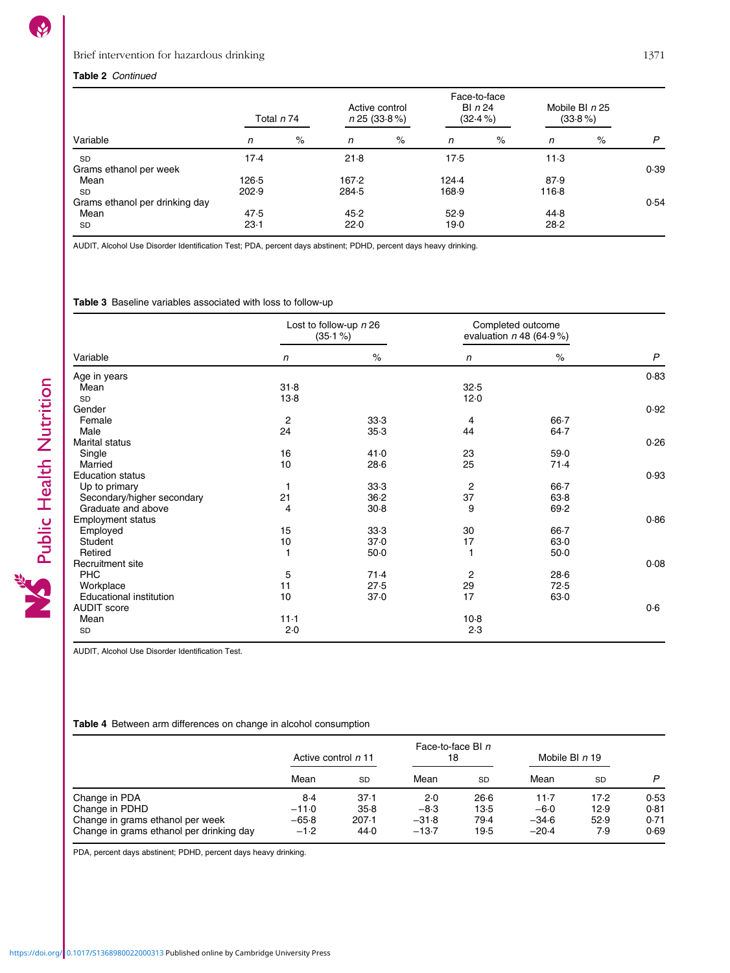Public Health Nutrition

# <span id="page-6-0"></span>Table 2 Continued

|                                | Total n 74 |      | Active control<br>n 25 (33.8%) |      | Face-to-face<br>BI $n24$<br>$(32.4\%)$ |      | Mobile BI $n25$<br>$(33.8\%)$ |      |      |
|--------------------------------|------------|------|--------------------------------|------|----------------------------------------|------|-------------------------------|------|------|
| Variable                       | n          | $\%$ | n                              | $\%$ | n                                      | $\%$ | n                             | $\%$ | P    |
| <b>SD</b>                      | 17.4       |      | 21.8                           |      | 17.5                                   |      | 11.3                          |      |      |
| Grams ethanol per week         |            |      |                                |      |                                        |      |                               |      | 0.39 |
| Mean                           | 126.5      |      | 167.2                          |      | 124.4                                  |      | 87.9                          |      |      |
| <b>SD</b>                      | 202.9      |      | 284.5                          |      | 168.9                                  |      | 116.8                         |      |      |
| Grams ethanol per drinking day |            |      |                                |      |                                        |      |                               |      | 0.54 |
| Mean                           | 47.5       |      | 45.2                           |      | 52.9                                   |      | 44.8                          |      |      |
| <b>SD</b>                      | 23.1       |      | 22.0                           |      | 19.0                                   |      | 28.2                          |      |      |

AUDIT, Alcohol Use Disorder Identification Test; PDA, percent days abstinent; PDHD, percent days heavy drinking.

Table 3 Baseline variables associated with loss to follow-up

| Variable                   |                | Lost to follow-up n 26<br>$(35.1\%)$ | Completed outcome<br>evaluation $n$ 48 (64.9%) |          |              |
|----------------------------|----------------|--------------------------------------|------------------------------------------------|----------|--------------|
|                            | n              | $\%$                                 | $\mathsf{n}$                                   | $\%$     | $\mathsf{P}$ |
| Age in years               |                |                                      |                                                |          | 0.83         |
| Mean                       | 31.8           |                                      | 32.5                                           |          |              |
| SD                         | $13-8$         |                                      | 12.0                                           |          |              |
| Gender                     |                |                                      |                                                |          | 0.92         |
| Female                     | $\overline{c}$ | 33.3                                 | 4                                              | $66 - 7$ |              |
| Male                       | 24             | 35.3                                 | 44                                             | 64.7     |              |
| <b>Marital status</b>      |                |                                      |                                                |          | 0.26         |
| Single                     | 16             | 41.0                                 | 23                                             | 59.0     |              |
| Married                    | 10             | 28.6                                 | 25                                             | 71.4     |              |
| <b>Education status</b>    |                |                                      |                                                |          | 0.93         |
| Up to primary              | 1              | 33.3                                 | 2                                              | $66 - 7$ |              |
| Secondary/higher secondary | 21             | 36.2                                 | 37                                             | 63.8     |              |
| Graduate and above         | 4              | 30.8                                 | 9                                              | 69.2     |              |
| <b>Employment status</b>   |                |                                      |                                                |          | 0.86         |
| Employed                   | 15             | 33.3                                 | 30                                             | $66 - 7$ |              |
| Student                    | 10             | 37.0                                 | 17                                             | 63.0     |              |
| Retired                    | 1              | $50-0$                               | 1                                              | $50-0$   |              |
| Recruitment site           |                |                                      |                                                |          | 0.08         |
| PHC                        | 5              | 71.4                                 | 2                                              | 28.6     |              |
| Workplace                  | 11             | 27.5                                 | 29                                             | 72.5     |              |
| Educational institution    | 10             | 37.0                                 | 17                                             | 63.0     |              |
| <b>AUDIT</b> score         |                |                                      |                                                |          | 0.6          |
| Mean                       | $11-1$         |                                      | $10-8$                                         |          |              |
| SD                         | 2.0            |                                      | 2.3                                            |          |              |

AUDIT, Alcohol Use Disorder Identification Test.

# Table 4 Between arm differences on change in alcohol consumption

|                                          | Active control n 11 |           | Face-to-face BI n<br>18 |           | Mobile BI $n$ 19 |           |      |
|------------------------------------------|---------------------|-----------|-------------------------|-----------|------------------|-----------|------|
|                                          | Mean                | <b>SD</b> | Mean                    | <b>SD</b> | Mean             | <b>SD</b> | P    |
| Change in PDA                            | 8.4                 | 37.1      | 2.0                     | 26.6      | 11.7             | 17.2      | 0.53 |
| Change in PDHD                           | $-11.0$             | 35.8      | $-8.3$                  | 13.5      | $-6.0$           | 12.9      | 0.81 |
| Change in grams ethanol per week         | $-65.8$             | 207.1     | $-31.8$                 | 79.4      | $-34.6$          | 52.9      | 0.71 |
| Change in grams ethanol per drinking day | $-1.2$              | 44.0      | $-13.7$                 | 19.5      | $-20.4$          | 7.9       | 0.69 |

PDA, percent days abstinent; PDHD, percent days heavy drinking.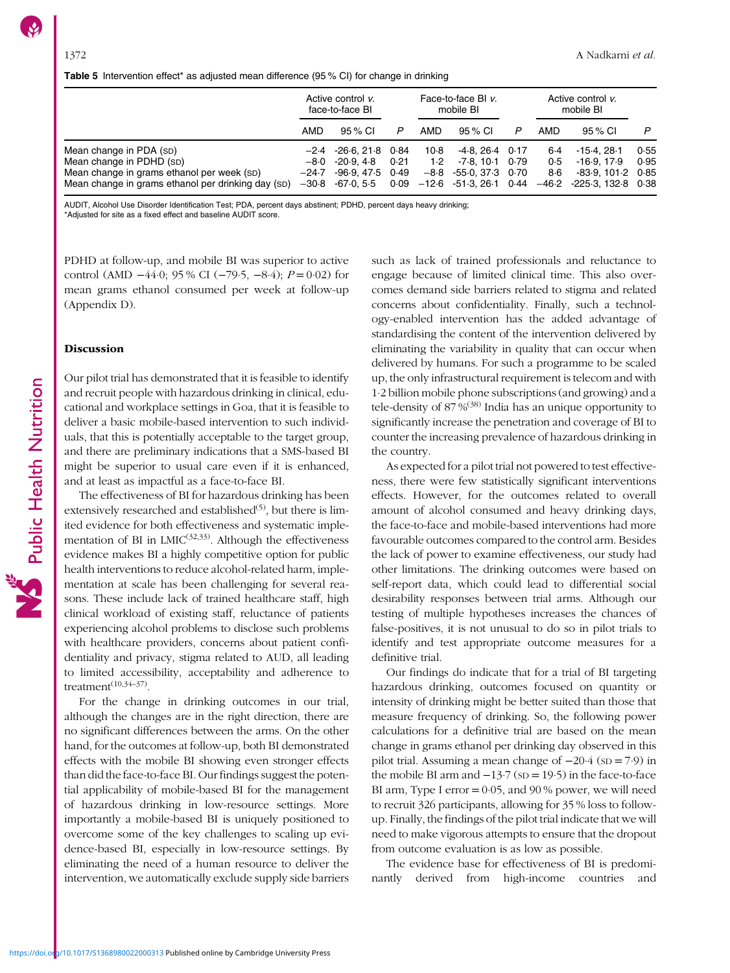<span id="page-7-0"></span>Table 5 Intervention effect\* as adjusted mean difference (95 % CI) for change in drinking

|                                                                                                                                                         | Active control v.<br>face-to-face BI |                                                                                                           |              |             | Face-to-face BI v.<br>mobile BI                                      |  | Active control v.<br>mobile BI |                                                                                                                 |              |  |
|---------------------------------------------------------------------------------------------------------------------------------------------------------|--------------------------------------|-----------------------------------------------------------------------------------------------------------|--------------|-------------|----------------------------------------------------------------------|--|--------------------------------|-----------------------------------------------------------------------------------------------------------------|--------------|--|
|                                                                                                                                                         | AMD                                  | 95 % CI                                                                                                   | P            | AMD         | 95 % CI                                                              |  | AMD                            | 95 % CI                                                                                                         | P            |  |
| Mean change in PDA (SD)<br>Mean change in PDHD (SD)<br>Mean change in grams ethanol per week (SD)<br>Mean change in grams ethanol per drinking day (SD) |                                      | $-2.4$ $-26.6$ , 21.8 0.84<br>$-8.0$ $-20.9$ , 4.8<br>$-24.7 - 96.9$ , 47.5 0.49<br>$-30.8$ $-67.0$ , 5.5 | 0.21<br>0.09 | 10.8<br>1.2 | $-4.8, 26.4$ 0.17<br>$-7.8, 10.1$ 0.79<br>$-8.8$ $-55.0$ , 37.3 0.70 |  | 6.4<br>0.5<br>8.6              | -15-4. 28-1<br>$-16.9.17.9$<br>$-83.9, 101.2$ 0.85<br>$-12.6$ $-51.3$ , 26.1 0.44 $-46.2$ $-225.3$ , 132.8 0.38 | 0.55<br>0.95 |  |

AUDIT, Alcohol Use Disorder Identification Test; PDA, percent days abstinent; PDHD, percent days heavy drinking;

\*Adjusted for site as a fixed effect and baseline AUDIT score.

PDHD at follow-up, and mobile BI was superior to active control (AMD  $-44.0$ ; 95 % CI ( $-79.5$ ,  $-8.4$ );  $P = 0.02$ ) for mean grams ethanol consumed per week at follow-up (Appendix [D](https://doi.org/10.1017/S1368980022000313)).

# Discussion

Our pilot trial has demonstrated that it is feasible to identify and recruit people with hazardous drinking in clinical, educational and workplace settings in Goa, that it is feasible to deliver a basic mobile-based intervention to such individuals, that this is potentially acceptable to the target group, and there are preliminary indications that a SMS-based BI might be superior to usual care even if it is enhanced, and at least as impactful as a face-to-face BI.

The effectiveness of BI for hazardous drinking has been extensively researched and established<sup>[\(5](#page-8-0))</sup>, but there is limited evidence for both effectiveness and systematic implementation of BI in  $LMIC^{(32,33)}$  $LMIC^{(32,33)}$  $LMIC^{(32,33)}$ . Although the effectiveness evidence makes BI a highly competitive option for public health interventions to reduce alcohol-related harm, implementation at scale has been challenging for several reasons. These include lack of trained healthcare staff, high clinical workload of existing staff, reluctance of patients experiencing alcohol problems to disclose such problems with healthcare providers, concerns about patient confidentiality and privacy, stigma related to AUD, all leading to limited accessibility, acceptability and adherence to treatment $(10,34-37)$  $(10,34-37)$  $(10,34-37)$  $(10,34-37)$  $(10,34-37)$ .

For the change in drinking outcomes in our trial, although the changes are in the right direction, there are no significant differences between the arms. On the other hand, for the outcomes at follow-up, both BI demonstrated effects with the mobile BI showing even stronger effects than did the face-to-face BI. Our findings suggest the potential applicability of mobile-based BI for the management of hazardous drinking in low-resource settings. More importantly a mobile-based BI is uniquely positioned to overcome some of the key challenges to scaling up evidence-based BI, especially in low-resource settings. By eliminating the need of a human resource to deliver the intervention, we automatically exclude supply side barriers such as lack of trained professionals and reluctance to engage because of limited clinical time. This also overcomes demand side barriers related to stigma and related concerns about confidentiality. Finally, such a technology-enabled intervention has the added advantage of standardising the content of the intervention delivered by eliminating the variability in quality that can occur when delivered by humans. For such a programme to be scaled up, the only infrastructural requirement is telecom and with 1·2 billion mobile phone subscriptions (and growing) and a tele-density of 87 %([38](#page-9-0)) India has an unique opportunity to significantly increase the penetration and coverage of BI to counter the increasing prevalence of hazardous drinking in the country.

As expected for a pilot trial not powered to test effectiveness, there were few statistically significant interventions effects. However, for the outcomes related to overall amount of alcohol consumed and heavy drinking days, the face-to-face and mobile-based interventions had more favourable outcomes compared to the control arm. Besides the lack of power to examine effectiveness, our study had other limitations. The drinking outcomes were based on self-report data, which could lead to differential social desirability responses between trial arms. Although our testing of multiple hypotheses increases the chances of false-positives, it is not unusual to do so in pilot trials to identify and test appropriate outcome measures for a definitive trial.

Our findings do indicate that for a trial of BI targeting hazardous drinking, outcomes focused on quantity or intensity of drinking might be better suited than those that measure frequency of drinking. So, the following power calculations for a definitive trial are based on the mean change in grams ethanol per drinking day observed in this pilot trial. Assuming a mean change of −20·4 (SD = 7·9) in the mobile BI arm and  $-13.7$  (sp = 19.5) in the face-to-face BI arm, Type I error  $= 0.05$ , and 90% power, we will need to recruit 326 participants, allowing for 35 % loss to followup. Finally, the findings of the pilot trial indicate that we will need to make vigorous attempts to ensure that the dropout from outcome evaluation is as low as possible.

The evidence base for effectiveness of BI is predominantly derived from high-income countries and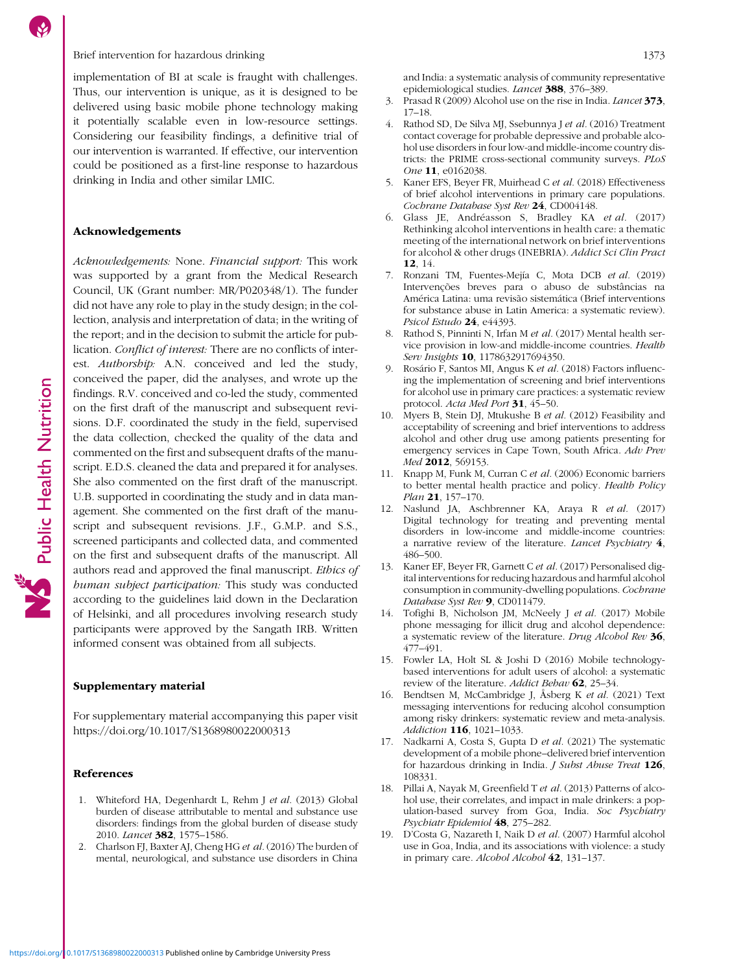# <span id="page-8-0"></span>Brief intervention for hazardous drinking 1373

implementation of BI at scale is fraught with challenges. Thus, our intervention is unique, as it is designed to be delivered using basic mobile phone technology making it potentially scalable even in low-resource settings. Considering our feasibility findings, a definitive trial of our intervention is warranted. If effective, our intervention could be positioned as a first-line response to hazardous drinking in India and other similar LMIC.

# Acknowledgements

Acknowledgements: None. Financial support: This work was supported by a grant from the Medical Research Council, UK (Grant number: MR/P020348/1). The funder did not have any role to play in the study design; in the collection, analysis and interpretation of data; in the writing of the report; and in the decision to submit the article for publication. Conflict of interest: There are no conflicts of interest. Authorship: A.N. conceived and led the study, conceived the paper, did the analyses, and wrote up the findings. R.V. conceived and co-led the study, commented on the first draft of the manuscript and subsequent revisions. D.F. coordinated the study in the field, supervised the data collection, checked the quality of the data and commented on the first and subsequent drafts of the manuscript. E.D.S. cleaned the data and prepared it for analyses. She also commented on the first draft of the manuscript. U.B. supported in coordinating the study and in data management. She commented on the first draft of the manuscript and subsequent revisions. J.F., G.M.P. and S.S., screened participants and collected data, and commented on the first and subsequent drafts of the manuscript. All authors read and approved the final manuscript. Ethics of human subject participation: This study was conducted according to the guidelines laid down in the Declaration of Helsinki, and all procedures involving research study participants were approved by the Sangath IRB. Written informed consent was obtained from all subjects.

# Supplementary material

For supplementary material accompanying this paper visit <https://doi.org/10.1017/S1368980022000313>

# References

- 1. Whiteford HA, Degenhardt L, Rehm J et al. (2013) Global burden of disease attributable to mental and substance use disorders: findings from the global burden of disease study 2010. Lancet 382, 1575–1586.
- 2. Charlson FJ, Baxter AJ, Cheng HG et al. (2016) The burden of mental, neurological, and substance use disorders in China

and India: a systematic analysis of community representative epidemiological studies. Lancet 388, 376-389.

- 3. Prasad R (2009) Alcohol use on the rise in India. Lancet 373, 17–18.
- 4. Rathod SD, De Silva MJ, Ssebunnya J et al. (2016) Treatment contact coverage for probable depressive and probable alcohol use disorders in four low-and middle-income country districts: the PRIME cross-sectional community surveys. PLoS One 11, e0162038.
- 5. Kaner EFS, Beyer FR, Muirhead C et al. (2018) Effectiveness of brief alcohol interventions in primary care populations. Cochrane Database Syst Rev 24, CD004148.
- 6. Glass JE, Andréasson S, Bradley KA et al. (2017) Rethinking alcohol interventions in health care: a thematic meeting of the international network on brief interventions for alcohol & other drugs (INEBRIA). Addict Sci Clin Pract 12, 14.
- 7. Ronzani TM, Fuentes-Mejía C, Mota DCB et al. (2019) Intervenções breves para o abuso de substâncias na América Latina: uma revisão sistemática (Brief interventions for substance abuse in Latin America: a systematic review). Psicol Estudo 24, e44393.
- Rathod S, Pinninti N, Irfan M et al. (2017) Mental health service provision in low-and middle-income countries. Health Serv Insights 10, 1178632917694350.
- Rosário F, Santos MI, Angus K et al. (2018) Factors influencing the implementation of screening and brief interventions for alcohol use in primary care practices: a systematic review protocol. Acta Med Port 31, 45-50.
- 10. Myers B, Stein DJ, Mtukushe B et al. (2012) Feasibility and acceptability of screening and brief interventions to address alcohol and other drug use among patients presenting for emergency services in Cape Town, South Africa. Adv Prev Med 2012, 569153.
- 11. Knapp M, Funk M, Curran C et al. (2006) Economic barriers to better mental health practice and policy. Health Policy Plan 21, 157-170.
- 12. Naslund JA, Aschbrenner KA, Araya R et al. (2017) Digital technology for treating and preventing mental disorders in low-income and middle-income countries: a narrative review of the literature. Lancet Psychiatry 4, 486–500.
- 13. Kaner EF, Beyer FR, Garnett C et al. (2017) Personalised digital interventions for reducing hazardous and harmful alcohol consumption in community-dwelling populations. Cochrane Database Syst Rev 9, CD011479.
- 14. Tofighi B, Nicholson JM, McNeely J et al. (2017) Mobile phone messaging for illicit drug and alcohol dependence: a systematic review of the literature. Drug Alcohol Rev 36, 477–491.
- 15. Fowler LA, Holt SL & Joshi D (2016) Mobile technologybased interventions for adult users of alcohol: a systematic review of the literature. Addict Behav 62, 25-34.
- 16. Bendtsen M, McCambridge J, Åsberg K et al. (2021) Text messaging interventions for reducing alcohol consumption among risky drinkers: systematic review and meta-analysis. Addiction 116, 1021–1033.
- 17. Nadkarni A, Costa S, Gupta D et al. (2021) The systematic development of a mobile phone–delivered brief intervention for hazardous drinking in India. *J Subst Abuse Treat* 126, 108331.
- 18. Pillai A, Nayak M, Greenfield T et al. (2013) Patterns of alcohol use, their correlates, and impact in male drinkers: a population-based survey from Goa, India. Soc Psychiatry Psychiatr Epidemiol 48, 275–282.
- 19. D'Costa G, Nazareth I, Naik D et al. (2007) Harmful alcohol use in Goa, India, and its associations with violence: a study in primary care. Alcohol Alcohol 42, 131–137.